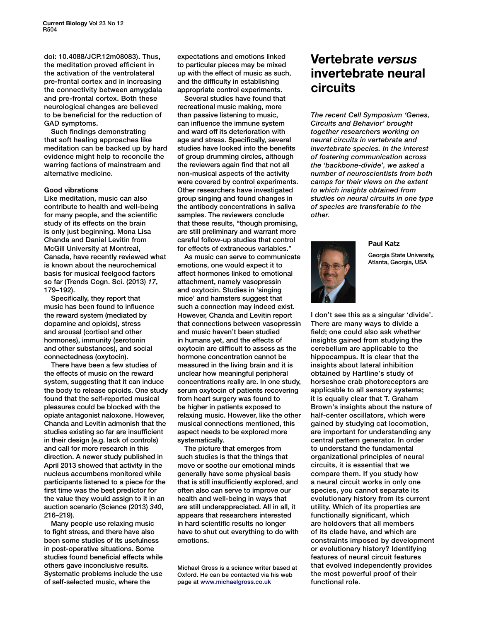doi: 10.4088/JCP.12m08083). Thus, the meditation proved efficient in the activation of the ventrolateral pre-frontal cortex and in increasing the connectivity between amygdala and pre-frontal cortex. Both these neurological changes are believed to be beneficial for the reduction of GAD symptoms.

Such findings demonstrating that soft healing approaches like meditation can be backed up by hard evidence might help to reconcile the warring factions of mainstream and alternative medicine.

## **Good vibrations**

Like meditation, music can also contribute to health and well-being for many people, and the scientific study of its effects on the brain is only just beginning. Mona Lisa Chanda and Daniel Levitin from McGill University at Montreal, Canada, have recently reviewed what is known about the neurochemical basis for musical feelgood factors so far (Trends Cogn. Sci. (2013) *17*, 179–192).

Specifically, they report that music has been found to influence the reward system (mediated by dopamine and opioids), stress and arousal (cortisol and other hormones), immunity (serotonin and other substances), and social connectedness (oxytocin).

There have been a few studies of the effects of music on the reward system, suggesting that it can induce the body to release opioids. One study found that the self-reported musical pleasures could be blocked with the opiate antagonist naloxone. However, Chanda and Levitin admonish that the studies existing so far are insufficient in their design (e.g. lack of controls) and call for more research in this direction. A newer study published in April 2013 showed that activity in the nucleus accumbens monitored while participants listened to a piece for the first time was the best predictor for the value they would assign to it in an auction scenario (Science (2013) *340*, 216–219).

Many people use relaxing music to fight stress, and there have also been some studies of its usefulness in post-operative situations. Some studies found beneficial effects while others gave inconclusive results. Systematic problems include the use of self-selected music, where the

expectations and emotions linked to particular pieces may be mixed up with the effect of music as such, and the difficulty in establishing appropriate control experiments.

Several studies have found that recreational music making, more than passive listening to music, can influence the immune system and ward off its deterioration with age and stress. Specifically, several studies have looked into the benefits of group drumming circles, although the reviewers again find that not all non-musical aspects of the activity were covered by control experiments. Other researchers have investigated group singing and found changes in the antibody concentrations in saliva samples. The reviewers conclude that these results, "though promising, are still preliminary and warrant more careful follow-up studies that control for effects of extraneous variables."

As music can serve to communicate emotions, one would expect it to affect hormones linked to emotional attachment, namely vasopressin and oxytocin. Studies in 'singing mice' and hamsters suggest that such a connection may indeed exist. However, Chanda and Levitin report that connections between vasopressin and music haven't been studied in humans yet, and the effects of oxytocin are difficult to assess as the hormone concentration cannot be measured in the living brain and it is unclear how meaningful peripheral concentrations really are. In one study, serum oxytocin of patients recovering from heart surgery was found to be higher in patients exposed to relaxing music. However, like the other musical connections mentioned, this aspect needs to be explored more systematically.

The picture that emerges from such studies is that the things that move or soothe our emotional minds generally have some physical basis that is still insufficiently explored, and often also can serve to improve our health and well-being in ways that are still underappreciated. All in all, it appears that researchers interested in hard scientific results no longer have to shut out everything to do with emotions.

Michael Gross is a science writer based at Oxford. He can be contacted via his web page at [www.michaelgross.co.uk](http://www.michaelgross.co.uk)

# **Vertebrate** *versus* **invertebrate neural circuits**

*The recent Cell Symposium 'Genes, Circuits and Behavior' brought together researchers working on neural circuits in vertebrate and invertebrate species. In the interest of fostering communication across the 'backbone-divide', we asked a number of neuroscientists from both camps for their views on the extent to which insights obtained from studies on neural circuits in one type of species are transferable to the other.*



#### **Paul Katz**

Georgia State University, Atlanta, Georgia, USA

I don't see this as a singular 'divide'. There are many ways to divide a field; one could also ask whether insights gained from studving the cerebellum are applicable to the hippocampus. It is clear that the insights about lateral inhibition obtained by Hartline's study of horseshoe crab photoreceptors are applicable to all sensory systems; it is equally clear that T. Graham Brown's insights about the nature of half-center oscillators, which were gained by studying cat locomotion, are important for understanding any central pattern generator. In order to understand the fundamental organizational principles of neural circuits, it is essential that we compare them. If you study how a neural circuit works in only one species, you cannot separate its evolutionary history from its current utility. Which of its properties are functionally significant, which are holdovers that all members of its clade have, and which are constraints imposed by development or evolutionary history? Identifying features of neural circuit features that evolved independently provides the most powerful proof of their functional role.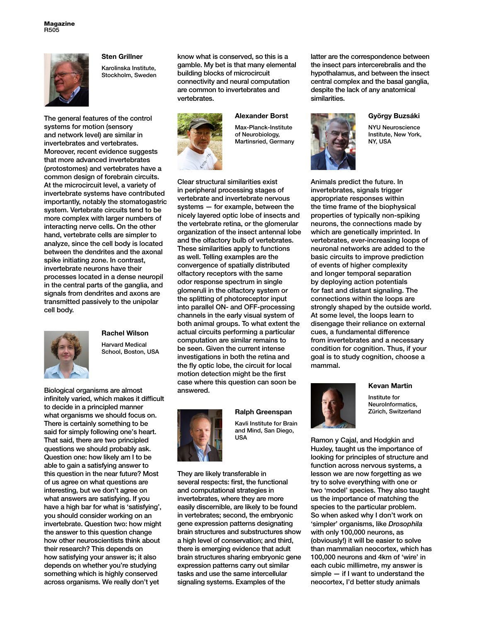#### **Sten Grillner**

Karolinska Institute, Stockholm, Sweden

The general features of the control systems for motion (sensory and network level) are similar in invertebrates and vertebrates. Moreover, recent evidence suggests that more advanced invertebrates (protostomes) and vertebrates have a common design of forebrain circuits. At the microcircuit level, a variety of invertebrate systems have contributed importantly, notably the stomatogastric system. Vertebrate circuits tend to be more complex with larger numbers of interacting nerve cells. On the other hand, vertebrate cells are simpler to analyze, since the cell body is located between the dendrites and the axonal spike initiating zone. In contrast, invertebrate neurons have their processes located in a dense neuropil in the central parts of the ganglia, and signals from dendrites and axons are transmitted passively to the unipolar cell body.



### **Rachel Wilson**

Harvard Medical School, Boston, USA

Biological organisms are almost infinitely varied, which makes it difficult to decide in a principled manner what organisms we should focus on. There is certainly something to be said for simply following one's heart. That said, there are two principled questions we should probably ask. Question one: how likely am I to be able to gain a satisfying answer to this question in the near future? Most of us agree on what questions are interesting, but we don't agree on what answers are satisfying. If you have a high bar for what is 'satisfying', you should consider working on an invertebrate. Question two: how might the answer to this question change how other neuroscientists think about their research? This depends on how satisfying your answer is; it also depends on whether you're studying something which is highly conserved across organisms. We really don't yet

know what is conserved, so this is a gamble. My bet is that many elemental building blocks of microcircuit connectivity and neural computation are common to invertebrates and vertebrates.



**Alexander Borst** Max-Planck-Institute of Neurobiology, Martinsried, Germany

Clear structural similarities exist in peripheral processing stages of vertebrate and invertebrate nervous systems — for example, between the nicely layered optic lobe of insects and the vertebrate retina, or the glomerular organization of the insect antennal lobe and the olfactory bulb of vertebrates. These similarities apply to functions as well. Telling examples are the convergence of spatially distributed olfactory receptors with the same odor response spectrum in single glomeruli in the olfactory system or the splitting of photoreceptor input into parallel ON- and OFF-processing channels in the early visual system of both animal groups. To what extent the actual circuits performing a particular computation are similar remains to be seen. Given the current intense investigations in both the retina and the fly optic lobe, the circuit for local motion detection might be the first case where this question can soon be answered.



**Ralph Greenspan** Kavli Institute for Brain and Mind, San Diego, USA

They are likely transferable in several respects: first, the functional and computational strategies in invertebrates, where they are more easily discernible, are likely to be found in vertebrates; second, the embryonic gene expression patterns designating brain structures and substructures show a high level of conservation; and third, there is emerging evidence that adult brain structures sharing embryonic gene expression patterns carry out similar tasks and use the same intercellular signaling systems. Examples of the

latter are the correspondence between the insect pars intercerebralis and the hypothalamus, and between the insect central complex and the basal ganglia, despite the lack of any anatomical similarities.



## **György Buzsáki**

NYU Neuroscience Institute, New York, NY, USA

Animals predict the future. In invertebrates, signals trigger appropriate responses within the time frame of the biophysical properties of typically non-spiking neurons, the connections made by which are genetically imprinted. In vertebrates, ever-increasing loops of neuronal networks are added to the basic circuits to improve prediction of events of higher complexity and longer temporal separation by deploying action potentials for fast and distant signaling. The connections within the loops are strongly shaped by the outside world. At some level, the loops learn to disengage their reliance on external cues, a fundamental difference from invertebrates and a necessary condition for cognition. Thus, if your goal is to study cognition, choose a mammal.



### **Kevan Martin**

Institute for NeuroInformatics, Zürich, Switzerland

Ramon y Cajal, and Hodgkin and Huxley, taught us the importance of looking for principles of structure and function across nervous systems, a lesson we are now forgetting as we try to solve everything with one or two 'model' species. They also taught us the importance of matching the species to the particular problem. So when asked why I don't work on 'simpler' organisms, like *Drosophila* with only 100,000 neurons, as (obviously!) it will be easier to solve than mammalian neocortex, which has 100,000 neurons and 4km of 'wire' in each cubic millimetre, my answer is simple — if I want to understand the neocortex, I'd better study animals